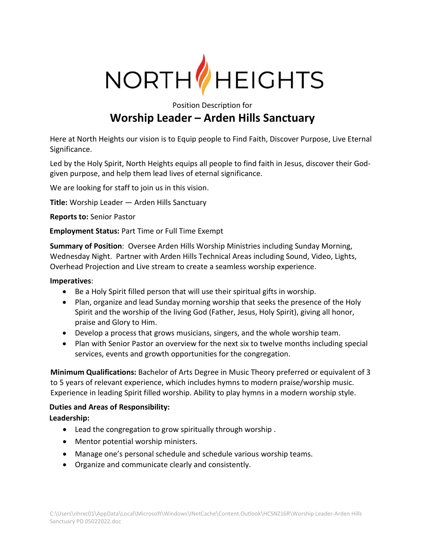

Position Description for

# **Worship Leader – Arden Hills Sanctuary**

Here at North Heights our vision is to Equip people to Find Faith, Discover Purpose, Live Eternal Significance.

Led by the Holy Spirit, North Heights equips all people to find faith in Jesus, discover their Godgiven purpose, and help them lead lives of eternal significance.

We are looking for staff to join us in this vision.

**Title:** Worship Leader — Arden Hills Sanctuary

**Reports to:** Senior Pastor

**Employment Status:** Part Time or Full Time Exempt

**Summary of Position**: Oversee Arden Hills Worship Ministries including Sunday Morning, Wednesday Night. Partner with Arden Hills Technical Areas including Sound, Video, Lights, Overhead Projection and Live stream to create a seamless worship experience.

#### **Imperatives**:

- Be a Holy Spirit filled person that will use their spiritual gifts in worship.
- Plan, organize and lead Sunday morning worship that seeks the presence of the Holy Spirit and the worship of the living God (Father, Jesus, Holy Spirit), giving all honor, praise and Glory to Him.
- Develop a process that grows musicians, singers, and the whole worship team.
- Plan with Senior Pastor an overview for the next six to twelve months including special services, events and growth opportunities for the congregation.

**Minimum Qualifications:** Bachelor of Arts Degree in Music Theory preferred or equivalent of 3 to 5 years of relevant experience, which includes hymns to modern praise/worship music. Experience in leading Spirit filled worship. Ability to play hymns in a modern worship style.

#### **Duties and Areas of Responsibility:**

**Leadership:**

- Lead the congregation to grow spiritually through worship .
- Mentor potential worship ministers.
- Manage one's personal schedule and schedule various worship teams.
- Organize and communicate clearly and consistently.